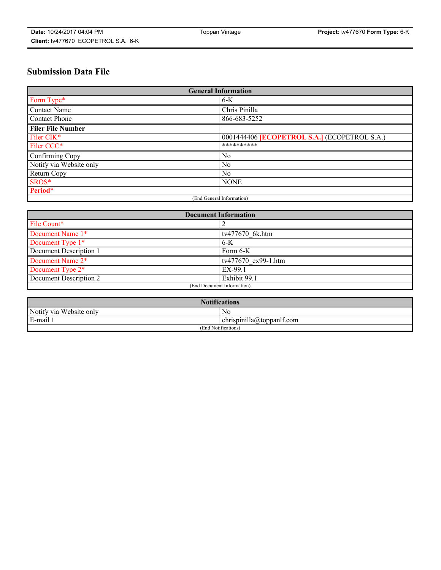# **Submission Data File**

| <b>General Information</b> |                                                     |
|----------------------------|-----------------------------------------------------|
| Form Type*                 | $6-K$                                               |
| Contact Name               | Chris Pinilla                                       |
| Contact Phone              | 866-683-5252                                        |
| <b>Filer File Number</b>   |                                                     |
| Filer CIK*                 | 0001444406 <b>[ECOPETROL S.A.]</b> (ECOPETROL S.A.) |
| Filer CCC*                 | **********                                          |
| Confirming Copy            | N <sub>0</sub>                                      |
| Notify via Website only    | N <sub>0</sub>                                      |
| Return Copy                | No                                                  |
| SROS*                      | <b>NONE</b>                                         |
| Period*                    |                                                     |
| (End General Information)  |                                                     |

| <b>Document Information</b> |                     |
|-----------------------------|---------------------|
| File Count*                 |                     |
| Document Name 1*            | tv477670 6k.htm     |
| Document Type 1*            | $6-K$               |
| Document Description 1      | Form 6-K            |
| Document Name 2*            | tv477670 ex99-1.htm |
| Document Type 2*            | EX-99.1             |
| Document Description 2      | Exhibit 99.1        |
| (End Document Information)  |                     |

| <b>Notifications</b>    |                                        |  |
|-------------------------|----------------------------------------|--|
| Notify via Website only | N0                                     |  |
| E-mail 1                | <br>10<br> chrispinilla(a)toppanIt.com |  |
| (End Notifications)     |                                        |  |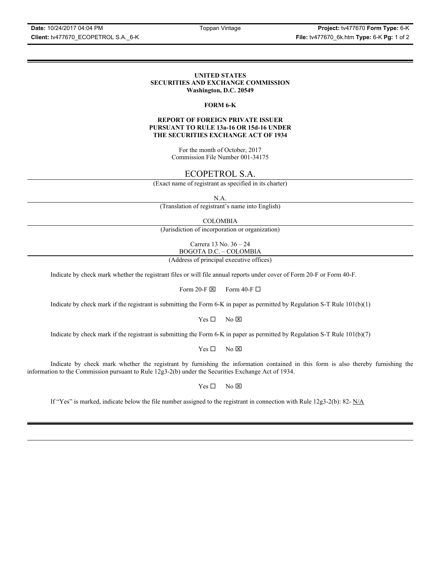**Date:** 10/24/2017 04:04 PM Toppan Vintage **Project:** tv477670 **Form Type:** 6-K

### **UNITED STATES SECURITIES AND EXCHANGE COMMISSION Washington, D.C. 20549**

### **FORM 6-K**

### **REPORT OF FOREIGN PRIVATE ISSUER PURSUANT TO RULE 13a-16 OR 15d-16 UNDER THE SECURITIES EXCHANGE ACT OF 1934**

For the month of October, 2017 Commission File Number 001-34175

# ECOPETROL S.A.

(Exact name of registrant as specified in its charter)

N.A.

(Translation of registrant's name into English)

COLOMBIA

(Jurisdiction of incorporation or organization)

Carrera 13 No. 36 – 24 BOGOTA D.C. – COLOMBIA

(Address of principal executive offices)

Indicate by check mark whether the registrant files or will file annual reports under cover of Form 20-F or Form 40-F.

Form 20-F  $\boxtimes$  Form 40-F  $\Box$ 

Indicate by check mark if the registrant is submitting the Form 6-K in paper as permitted by Regulation S-T Rule 101(b)(1)

 $Yes \Box$  No  $\boxtimes$ 

Indicate by check mark if the registrant is submitting the Form 6-K in paper as permitted by Regulation S-T Rule 101(b)(7)

 $Yes \Box$  No  $\boxtimes$ 

Indicate by check mark whether the registrant by furnishing the information contained in this form is also thereby furnishing the information to the Commission pursuant to Rule 12g3-2(b) under the Securities Exchange Act of 1934.

 $Yes \Box$  No  $\boxtimes$ 

If "Yes" is marked, indicate below the file number assigned to the registrant in connection with Rule 12g3-2(b): 82-  $N/A$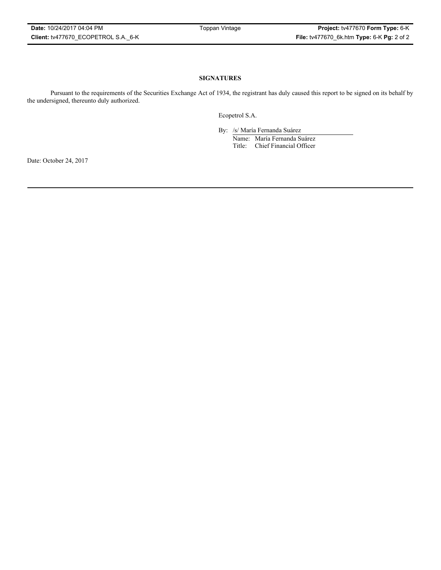## **SIGNATURES**

Pursuant to the requirements of the Securities Exchange Act of 1934, the registrant has duly caused this report to be signed on its behalf by the undersigned, thereunto duly authorized.

Ecopetrol S.A.

By: /s/ María Fernanda Suárez Name: María Fernanda Suárez Title: Chief Financial Officer

Date: October 24, 2017